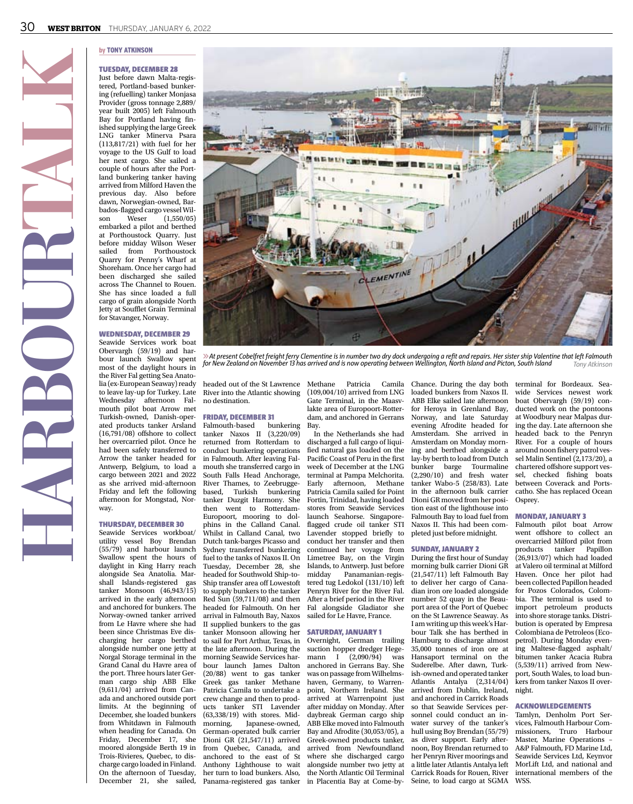**HARBOURTALK**



#### Tuesday, December 28

Just before dawn Malta-registered, Portland-based bunkering (refuelling) tanker Monjasa Provider (gross tonnage 2,889/ year built 2005) left Falmouth Bay for Portland having finished supplying the large Greek LNG tanker Minerva Psara (113,817/21) with fuel for her voyage to the US Gulf to load her next cargo. She sailed a couple of hours after the Portland bunkering tanker having arrived from Milford Haven the previous day. Also before dawn, Norwegian-owned, Barbados-flagged cargo vessel Wilson Weser (1,550/05) embarked a pilot and berthed at Porthoustock Quarry. Just before midday Wilson Weser<br>sailed from Porthoustock from Porthoustock Quarry for Penny's Wharf at Shoreham. Once her cargo had been discharged she sailed across The Channel to Rouen. She has since loaded a full cargo of grain alongside North Jetty at Soufflet Grain Terminal for Stavanger, Norway.

#### Wednesday, December 29 Seawide Services work boat Obervargh (59/19) and harbour launch Swallow spent most of the daylight hours in the River Fal getting Sea Anatolia (ex-European Seaway) ready to leave lay-up for Turkey. Late Wednesday afternoon Falmouth pilot boat Arrow met Turkish-owned, Danish-operated products tanker Arsland (16,791/08) offshore to collect her overcarried pilot. Once he had been safely transferred to Arrow the tanker headed for Antwerp, Belgium, to load a cargo between 2021 and 2022 as she arrived mid-afternoon Friday and left the following afternoon for Mongstad, Norway.

#### Thursday, December 30

Seawide Services workboat/ utility vessel Boy Brendan (55/79) and harbour launch Swallow spent the hours of daylight in King Harry reach alongside Sea Anatolia. Marshall Islands-registered gas tanker Monsoon (46,943/15) arrived in the early afternoon and anchored for bunkers. The Norway-owned tanker arrived from Le Havre where she had been since Christmas Eve discharging her cargo berthed alongside number one jetty at Norgal Storage terminal in the Grand Canal du Havre area of the port. Three hours later German cargo ship ABB Elke (9,611/04) arrived from Canada and anchored outside port limits. At the beginning of December, she loaded bunkers from Whitdawn in Falmouth when heading for Canada. On Friday, December 17, she moored alongside Berth 19 in Trois-Rivieres, Quebec, to discharge cargo loaded in Finland. On the afternoon of Tuesday,



6*At present Cobelfret freight ferry Clementine is in number two dry dock undergoing a refit and repairs. Her sister ship Valentine that left Falmouth for New Zealand on November 13 has arrived and is now operating between Wellington, North Island and Picton, South Island Tony Atkinson*

headed out of the St Lawrence Methane Patricia Camila Chance. During the day both terminal for Bordeaux. Sea-River into the Atlantic showing no destination.

#### Friday, December 31

Falmouth-based bunkering tanker Naxos II (3,220/09) returned from Rotterdam to conduct bunkering operations in Falmouth. After leaving Falmouth she transferred cargo in South Falls Head Anchorage, River Thames, to Zeebruggebased, Turkish bunkering tanker Duzgit Harmony. She then went to Rotterdam-Europoort, mooring to dolphins in the Calland Canal. Whilst in Calland Canal, two Dutch tank-barges Picasso and Sydney transferred bunkering fuel to the tanks of Naxos II. On Tuesday, December 28, she headed for Southwold Ship-to-Ship transfer area off Lowestoft to supply bunkers to the tanker Red Sun (59,711/08) and then headed for Falmouth. On her arrival in Falmouth Bay, Naxos II supplied bunkers to the gas tanker Monsoon allowing her to sail for Port Arthur, Texas, in the late afternoon. During the morning Seawide Services harbour launch James Dalton (20/88) went to gas tanker Greek gas tanker Methane Patricia Camila to undertake a crew change and then to products tanker STI Lavender (63,338/19) with stores. Midmorning, Japanese-owned, German-operated bulk carrier Dioni GR  $(21,547/11)$  arrived from Quebec, Canada, and anchored to the east of St Anthony Lighthouse to wait her turn to load bunkers. Also, Panama-registered gas tanker in Placentia Bay at Come-by-December 21, she sailed,

(109,004/10) arrived from LNG Gate Terminal, in the Maasvlakte area of Europoort-Rotterdam, and anchored in Gerrans Bay.

In the Netherlands she had discharged a full cargo of liquified natural gas loaded on the Pacific Coast of Peru in the first week of December at the LNG terminal at Pampa Melchorita. Early afternoon, Methane Patricia Camila sailed for Point Fortin, Trinidad, having loaded stores from Seawide Services launch Seahorse. Singaporeflagged crude oil tanker STI Lavender stopped briefly to conduct her transfer and then continued her voyage from Limetree Bay, on the Virgin Islands, to Antwerp. Just before Panamanian-registered tug Ledokol (131/10) left Penryn River for the River Fal. After a brief period in the River Fal alongside Gladiator she sailed for Le Havre, France.

#### Saturday, January 1

Overnight, German trailing suction hopper dredger Hegemann I (2,090/94) was anchored in Gerrans Bay. She was on passage from Wilhelmshaven, Germany, to Warrenpoint, Northern Ireland. She arrived at Warrenpoint just after midday on Monday. After daybreak German cargo ship ABB Elke moved into Falmouth Bay and Afrodite (30,053/05), a Greek-owned products tanker, arrived from Newfoundland where she discharged cargo alongside number two jetty at the North Atlantic Oil Terminal

loaded bunkers from Naxos II. ABB Elke sailed late afternoon for Heroya in Grenland Bay, Norway, and late Saturday evening Afrodite headed for Amsterdam. She arrived in Amsterdam on Monday morning and berthed alongside a lay-by berth to load from Dutch bunker barge (2,290/10) and fresh water tanker Wabo-5 (258/83). Late in the afternoon bulk carrier Dioni GR moved from her position east of the lighthouse into Falmouth Bay to load fuel from Naxos II. This had been completed just before midnight.

#### Sunday, January 2

During the first hour of Sunday morning bulk carrier Dioni GR (21,547/11) left Falmouth Bay to deliver her cargo of Canadian iron ore loaded alongside number 52 quay in the Beauport area of the Port of Quebec on the St Lawrence Seaway. As I am writing up this week's Harbour Talk she has berthed in Hamburg to discharge almost 35,000 tonnes of iron ore at Hansaport terminal on the Suderelbe. After dawn, Turkish-owned and operated tanker Atlantis Antalya (2,314/04) arrived from Dublin, Ireland, and anchored in Carrick Roads so that Seawide Services personnel could conduct an inwater survey of the tanker's hull using Boy Brendan (55/79) as diver support. Early afternoon, Boy Brendan returned to her Penryn River moorings and a little later Atlantis Antalya left Carrick Roads for Rouen, River Seine, to load cargo at SGMA WSS.

wide Services newest work boat Obervargh (59/19) conducted work on the pontoons at Woodbury near Malpas during the day. Late afternoon she headed back to the Penryn River. For a couple of hours around noon fishery patrol vessel Malin Sentinel (2,173/20), a chartered offshore support vessel, checked fishing boats between Coverack and Portscatho. She has replaced Ocean Osprey.

# Monday, January 3

Falmouth pilot boat Arrow went offshore to collect an overcarried Milford pilot from<br>products tanker Papillon products tanker  $(26,913/07)$  which had loaded at Valero oil terminal at Milford Haven. Once her pilot had been collected Papillon headed for Pozos Colorados, Colombia. The terminal is used to import petroleum products into shore storage tanks. Distribution is operated by Empresa Colombiana de Petroleos (Ecopetrol). During Monday evening Maltese-flagged asphalt/ bitumen tanker Acacia Rubra (5,539/11) arrived from Newport, South Wales, to load bunkers from tanker Naxos II overnight.

#### Acknowledgements

Tamlyn, Denholm Port Services, Falmouth Harbour Commissioners, Truro Harbour Master, Marine Operations – A&P Falmouth, FD Marine Ltd, Seawide Services Ltd, Keynvor MorLift Ltd, and national and international members of the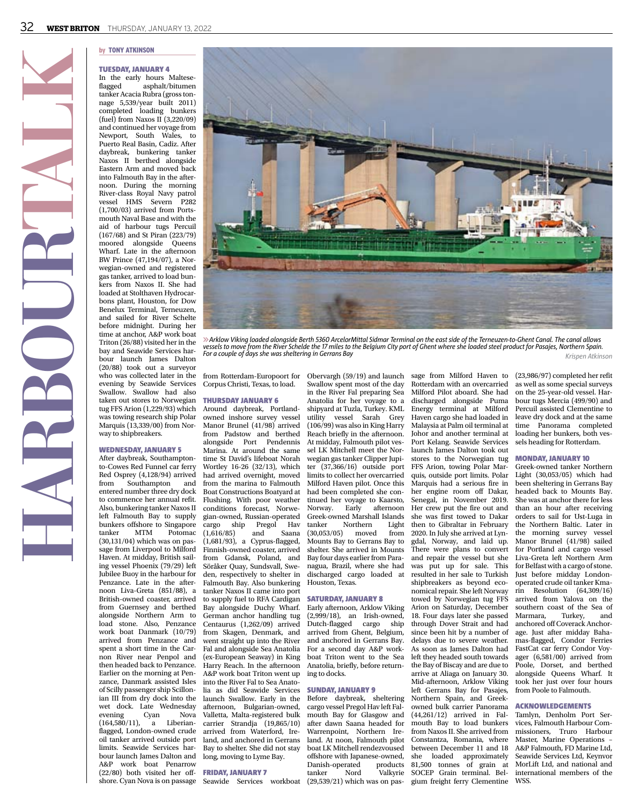# Tuesday, January 4

In the early hours Maltese-<br>flagged asphalt/bitumen asphalt/bitumen tanker Acacia Rubra (gross tonnage 5,539/year built 2011) completed loading bunkers (fuel) from Naxos II (3,220/09) and continued her voyage from Newport, South Wales, to Puerto Real Basin, Cadiz. After daybreak, bunkering tanker Naxos II berthed alongside Eastern Arm and moved back into Falmouth Bay in the afternoon. During the morning River-class Royal Navy patrol vessel HMS Severn P282 (1,700/03) arrived from Portsmouth Naval Base and with the aid of harbour tugs Percuil (167/68) and St Piran (223/79) moored alongside Wharf. Late in the afternoon BW Prince (47,194/07), a Norwegian-owned and registered gas tanker, arrived to load bunkers from Naxos II. She had loaded at Stolthaven Hydrocarbons plant, Houston, for Dow Benelux Terminal, Terneuzen, and sailed for River Schelte before midnight. During her time at anchor, A&P work boat Triton (26/88) visited her in the bay and Seawide Services harbour launch James Dalton (20/88) took out a surveyor who was collected later in the evening by Seawide Services Swallow. Swallow had also taken out stores to Norwegian tug FFS Arion (1,229/93) which was towing research ship Polar Marquis (13,339/00) from Norway to shipbreakers.

**HARBOURTALK**

#### Wednesday, January 5

shore. Cyan Nova is on passage Seawide Services workboat (29,539/21) which was on pas-After daybreak, Southamptonto-Cowes Red Funnel car ferry Red Osprey (4,128/94) arrived from Southampton and entered number three dry dock to commence her annual refit. Also, bunkering tanker Naxos II left Falmouth Bay to supply bunkers offshore to Singapore<br>tanker MTM Potomac tanker MTM Potomac (30,131/04) which was on passage from Liverpool to Milford Haven. At midday, British sailing vessel Phoenix (79/29) left Jubilee Buoy in the harbour for Penzance. Late in the afternoon Liva-Greta (851/88), a British-owned coaster, arrived from Guernsey and berthed alongside Northern Arm to load stone. Also, Penzance work boat Danmark (10/79) arrived from Penzance and spent a short time in the Carnon River near Penpol and then headed back to Penzance. Earlier on the morning at Penzance, Danmark assisted Isles of Scilly passenger ship Scillonian III from dry dock into the wet dock. Late Wednesday<br>evening Cyan Nova evening Cyan Nova<br>(164,580/11), a Liberian- $(164,580/11)$ , a flagged, London-owned crude oil tanker arrived outside port limits. Seawide Services harbour launch James Dalton and A&P work boat Penarrow (22/80) both visited her off-



6*Arklow Viking loaded alongside Berth 5360 ArcelorMittal Sidmar Terminal on the east side of the Terneuzen-to-Ghent Canal. The canal allows vessels to move from the River Schelde the 17 miles to the Belgium City port of Ghent where she loaded steel product for Pasajes, Northern Spain. For a couple of days she was sheltering in Gerrans Bay Krispen Atkinson*

from Rotterdam-Europoort for Corpus Christi, Texas, to load.

# Thursday January 6

Around daybreak, Portlandowned inshore survey vessel Manor Brunel (41/98) arrived from Padstow and berthed alongside Port Pendennis At midday, Falmouth pilot ves-Marina. At around the same time St David's lifeboat Norah Wortley 16-26 (32/13), which had arrived overnight, moved from the marina to Falmouth Boat Constructions Boatyard at Flushing. With poor weather conditions forecast, Norwegian-owned, Russian-operated cargo ship Pregol Hav<br>(1,616/85) and Saana  $(1,616/85)$  and  $(1,681/93)$ , a Cyprus-flagged, Finnish-owned coaster, arrived from Gdansk, Poland, and Söråker Quay, Sundsvall, Sweden, respectively to shelter in Falmouth Bay. Also bunkering tanker Naxos II came into port to supply fuel to RFA Cardigan Bay alongside Duchy Wharf. German anchor handling tug Centaurus (1,262/09) arrived from Skagen, Denmark, and went straight up into the River Fal and alongside Sea Anatolia (ex-European Seaway) in King Harry Reach. In the afternoon A&P work boat Triton went up into the River Fal to Sea Anatolia as did Seawide Services launch Swallow. Early in the afternoon, Bulgarian-owned, Valletta, Malta-registered bulk carrier Strandja (19,865/10) arrived from Waterford, Ireland, and anchored in Gerrans Bay to shelter. She did not stay long, moving to Lyme Bay.

# Friday, January 7

Obervargh (59/19) and launch Swallow spent most of the day in the River Fal preparing Sea Anatolia for her voyage to a shipyard at Tuzla, Turkey. KML utility vessel Sarah Grey (106/99) was also in King Harry Reach briefly in the afternoon. sel LK Mitchell meet the Norwegian gas tanker Clipper Jupiter (37,366/16) outside port limits to collect her overcarried Milford Haven pilot. Once this had been completed she continued her voyage to Kaarsto, Norway. Early afternoon Greek-owned Marshall Islands tanker Northern Light (30,053/05) moved from Mounts Bay to Gerrans Bay to shelter. She arrived in Mounts Bay four days earlier from Paranagua, Brazil, where she had discharged cargo loaded at Houston, Texas.

# Saturday, January 8

Early afternoon, Arklow Viking (2,999/18), an Irish-owned, Dutch-flagged cargo ship arrived from Ghent, Belgium, and anchored in Gerrans Bay. For a second day A&P workboat Triton went to the Sea Anatolia, briefly, before returning to docks.

# Sunday, January 9

Before daybreak, sheltering cargo vessel Pregol Hav left Falmouth Bay for Glasgow and after dawn Saana headed for Warrenpoint, Northern Ireland. At noon, Falmouth pilot boat LK Mitchell rendezvoused offshore with Japanese-owned,<br>Danish-operated products Danish-operated tanker Nord Valkyrie

sage from Milford Haven to Rotterdam with an overcarried Milford Pilot aboard. She had discharged alongside Puma Energy terminal at Milford Haven cargo she had loaded in Malaysia at Palm oil terminal at Johor and another terminal at Port Kelang. Seawide Services launch James Dalton took out stores to the Norwegian tug FFS Arion, towing Polar Marquis, outside port limits. Polar Marquis had a serious fire in her engine room off Dakar, Senegal, in November 2019. Her crew put the fire out and she was first towed to Dakar then to Gibraltar in February 2020. In July she arrived at Lyngdal, Norway, and laid up. There were plans to convert and repair the vessel but she was put up for sale. This resulted in her sale to Turkish shipbreakers as beyond economical repair. She left Norway towed by Norwegian tug FFS Arion on Saturday, December 18. Four days later she passed through Dover Strait and had since been hit by a number of delays due to severe weather. As soon as James Dalton had left they headed south towards the Bay of Biscay and are due to arrive at Aliaga on January 30. Mid-afternoon, Arklow Viking left Gerrans Bay for Pasajes, Northern Spain, and Greekowned bulk carrier Panorama (44,261/12) arrived in Falmouth Bay to load bunkers from Naxos II. She arrived from Constantza, Romania, where between December 11 and 18 she loaded approximately 81,500 tonnes of grain at SOCEP Grain terminal. Bel-

(23,986/97) completed her refit as well as some special surveys on the 25-year-old vessel. Harbour tugs Mercia (499/90) and Percuil assisted Clementine to leave dry dock and at the same time Panorama completed loading her bunkers, both vessels heading for Rotterdam.

#### Monday, January 10

Greek-owned tanker Northern Light (30,053/05) which had been sheltering in Gerrans Bay headed back to Mounts Bay. She was at anchor there for less than an hour after receiving orders to sail for Ust-Luga in the Northern Baltic. Later in the morning survey vessel Manor Brunel (41/98) sailed for Portland and cargo vessel Liva-Greta left Northern Arm for Belfast with a cargo of stone. Just before midday Londonoperated crude oil tanker Kmarin Resolution (64,309/16) arrived from Yalova on the southern coast of the Sea of<br>Marmara. Turkey. and Turkey, and anchored off Coverack Anchorage. Just after midday Bahamas-flagged, Condor Ferries FastCat car ferry Condor Voyager (6,581/00) arrived from Poole, Dorset, and berthed alongside Queens Wharf. It took her just over four hours from Poole to Falmouth.

#### Acknowledgements

gium freight ferry Clementine WSS. Tamlyn, Denholm Port Services, Falmouth Harbour Commissioners, Truro Harbour Master, Marine Operations – A&P Falmouth, FD Marine Ltd, Seawide Services Ltd, Keynvor MorLift Ltd, and national and international members of the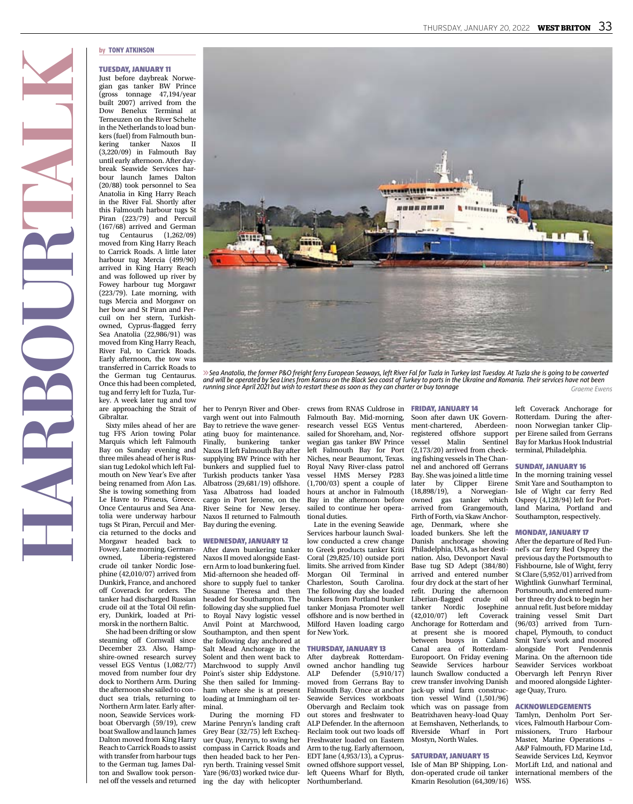#### Tuesday, January 11

Just before daybreak Norwegian gas tanker BW Prince (gross tonnage 47,194/year built 2007) arrived from the Dow Benelux Terminal at Terneuzen on the River Schelte in the Netherlands to load bunkers (fuel) from Falmouth bunkering tanker Naxos II (3,220/09) in Falmouth Bay until early afternoon. After daybreak Seawide Services harbour launch James Dalton (20/88) took personnel to Sea Anatolia in King Harry Reach in the River Fal. Shortly after this Falmouth harbour tugs St Piran (223/79) and Percuil (167/68) arrived and German tug Centaurus (1,262/09) moved from King Harry Reach to Carrick Roads. A little later harbour tug Mercia (499/90) arrived in King Harry Reach and was followed up river by Fowey harbour tug Morgawr (223/79). Late morning, with tugs Mercia and Morgawr on her bow and St Piran and Percuil on her stern, Turkishowned, Cyprus-flagged ferry Sea Anatolia (22,986/91) was moved from King Harry Reach, River Fal, to Carrick Roads. Early afternoon, the tow was transferred in Carrick Roads to the German tug Centaurus. Once this had been completed, tug and ferry left for Tuzla, Turkey. A week later tug and tow are approaching the Strait of Gibraltar.

**HARBOURTALK**

Sixty miles ahead of her are tug FFS Arion towing Polar Marquis which left Falmouth Bay on Sunday evening and three miles ahead of her is Russian tug Ledokol which left Falmouth on New Year's Eve after being renamed from Afon Las. She is towing something from Le Havre to Piraeus, Greece. Once Centaurus and Sea Anatolia were underway harbour tugs St Piran, Percuil and Mercia returned to the docks and Morgawr headed back to Fowey. Late morning, German-<br>owned, Liberia-registered Liberia-registered crude oil tanker Nordic Josephine (42,010/07) arrived from Dunkirk, France, and anchored off Coverack for orders. The tanker had discharged Russian crude oil at the Total Oil refinery, Dunkirk, loaded at Primorsk in the northern Baltic.

She had been drifting or slow steaming off Cornwall since December 23. Also, Hampshire-owned research survey vessel EGS Ventus (1,082/77) moved from number four dry dock to Northern Arm. During the afternoon she sailed to conduct sea trials, returning to Northern Arm later. Early afternoon, Seawide Services workboat Obervargh (59/19), crew boat Swallow and launch James Dalton moved from King Harry Reach to Carrick Roads to assist with transfer from harbour tugs to the German tug. James Dalton and Swallow took person-

her to Penryn River and Obervargh went out into Falmouth Bay to retrieve the wave generating buoy for maintenance.<br>Finally, bunkering tanker bunkering tanker Naxos II left Falmouth Bay after supplying BW Prince with her bunkers and supplied fuel to Turkish products tanker Yasa Albatross (29,681/19) offshore. Yasa Albatross had loaded cargo in Port Jerome, on the River Seine for New Jersey. Naxos II returned to Falmouth Bay during the evening.

# Wednesday, January 12

After dawn bunkering tanker to Greek products tanker Kriti Naxos II moved alongside Eastern Arm to load bunkering fuel. Mid-afternoon she headed offshore to supply fuel to tanker Susanne Theresa and then headed for Southampton. The following day she supplied fuel to Royal Navy logistic vessel Anvil Point at Marchwood, Southampton, and then spent the following day anchored at Salt Mead Anchorage in the Solent and then went back to Marchwood to supply Anvil Point's sister ship Eddystone. She then sailed for Immingham where she is at present loading at Immingham oil terminal.

During the morning FD Marine Penryn's landing craft Grey Bear (32/75) left Exchequer Quay, Penryn, to swing her compass in Carrick Roads and then headed back to her Penryn berth. Training vessel Smit Yare (96/03) worked twice durnel off the vessels and returned ing the day with helicopter Northumberland.

crews from RNAS Culdrose in FRIDAY, JANUARY 14 Falmouth Bay. Mid-morning, research vessel EGS Ventus sailed for Shoreham, and, Norwegian gas tanker BW Prince left Falmouth Bay for Port Niches, near Beaumont, Texas. Royal Navy River-class patrol vessel HMS Mersey P283 (1,700/03) spent a couple of hours at anchor in Falmouth Bay in the afternoon before sailed to continue her operational duties.

*running since April 2021 but wish to restart these as soon as they can charter or buy tonnage*

Late in the evening Seawide Services harbour launch Swallow conducted a crew change Coral (29,825/10) outside port limits. She arrived from Kinder Morgan Oil Terminal in Charleston, South Carolina. The following day she loaded bunkers from Portland bunker tanker Monjasa Promoter well offshore and is now berthed in Milford Haven loading cargo for New York.

#### Thursday, January 13

After daybreak Rotterdamowned anchor handling tug ALP Defender (5,910/17) moved from Gerrans Bay to Falmouth Bay. Once at anchor Seawide Services workboats Obervargh and Reclaim took out stores and freshwater to ALP Defender. In the afternoon Reclaim took out two loads off Freshwater loaded on Eastern Arm to the tug. Early afternoon, EDT Jane (4,953/13), a Cyprusowned offshore support vessel, left Queens Wharf for Blyth,

Soon after dawn UK Government-chartered, Aberdeenregistered offshore support vessel Malin Sentinel (2,173/20) arrived from checking fishing vessels in The Channel and anchored off Gerrans Bay. She was joined a little time later by Clipper Eirene (18,898/19), a Norwegianowned gas tanker which arrived from Grangemouth, Firth of Forth, via Skaw Anchorage, Denmark, where she loaded bunkers. She left the Danish anchorage showing Philadelphia, USA, as her destination. Also, Devonport Naval Base tug SD Adept (384/80) arrived and entered number four dry dock at the start of her refit. During the afternoon Liberian-flagged crude oil tanker Nordic Josephine (42,010/07) left Coverack Anchorage for Rotterdam and at present she is moored between buoys in Caland Canal area of Rotterdam-Europoort. On Friday evening Seawide Services harbour launch Swallow conducted a crew transfer involving Danish jack-up wind farm construction vessel Wind (1,501/96) which was on passage from Beatrixhaven heavy-load Quay at Eemshaven, Netherlands, to Riverside Wharf in Port Mostyn, North Wales.

# Saturday, January 15

Isle of Man BP Shipping, London-operated crude oil tanker Kmarin Resolution (64,309/16) left Coverack Anchorage for Rotterdam. During the afternoon Norwegian tanker Clipper Eirene sailed from Gerrans Bay for Markus Hook Industrial terminal, Philadelphia.

*Graeme Ewens*

# Sunday, January 16

In the morning training vessel Smit Yare and Southampton to Isle of Wight car ferry Red Osprey (4,128/94) left for Portland Marina, Portland and Southampton, respectively.

#### Monday, January 17

After the departure of Red Funnel's car ferry Red Osprey the previous day the Portsmouth to Fishbourne, Isle of Wight, ferry St Clare (5,952/01) arrived from Wightlink Gunwharf Terminal, Portsmouth, and entered number three dry dock to begin her annual refit. Just before midday training vessel Smit Dart (96/03) arrived from Turnchapel, Plymouth, to conduct Smit Yare's work and moored alongside Port Pendennis Marina. On the afternoon tide Seawider Services workboat Obervargh left Penryn River and moored alongside Lighterage Quay, Truro.

#### Acknowledgements

Tamlyn, Denholm Port Services, Falmouth Harbour Commissioners, Truro Harbour Master, Marine Operations – A&P Falmouth, FD Marine Ltd, Seawide Services Ltd, Keynvor MorLift Ltd, and national and international members of the WSS.

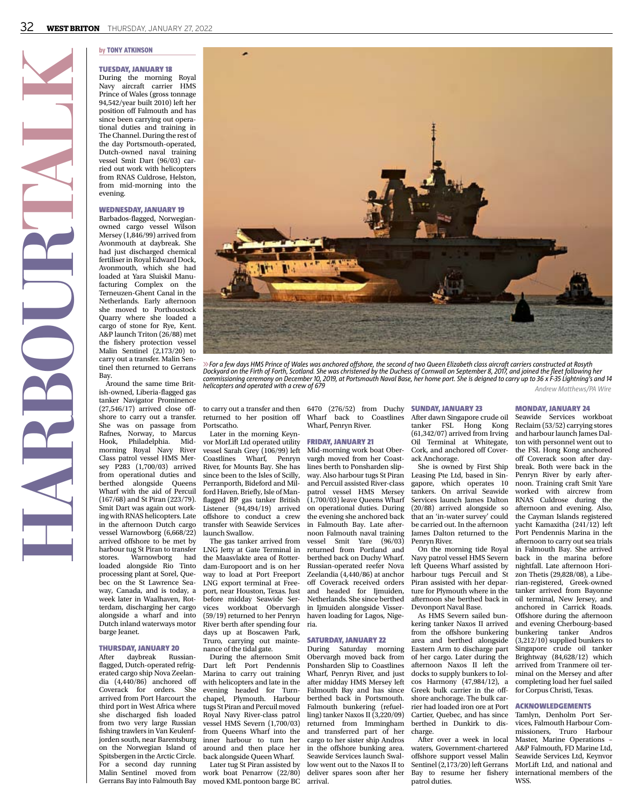# Tuesday, January 18

During the morning Royal Navy aircraft carrier HMS Prince of Wales (gross tonnage 94,542/year built 2010) left her position off Falmouth and has since been carrying out operational duties and training in The Channel. During the rest of the day Portsmouth-operated, Dutch-owned naval training vessel Smit Dart (96/03) carried out work with helicopters from RNAS Culdrose, Helston, from mid-morning into the evening.

#### Wednesday, January 19

Barbados-flagged, Norwegianowned cargo vessel Wilson Mersey (1,846/99) arrived from Avonmouth at daybreak. She had just discharged chemical fertiliser in Royal Edward Dock, Avonmouth, which she had loaded at Yara Sluiskil Manufacturing Complex on the Terneuzen-Ghent Canal in the Netherlands. Early afternoon she moved to Porthoustock Quarry where she loaded a cargo of stone for Rye, Kent. A&P launch Triton (26/88) met the fishery protection vessel Malin Sentinel (2,173/20) to carry out a transfer. Malin Sentinel then returned to Gerrans Bay.

**HARBOURTALK**

Around the same time British-owned, Liberia-flagged gas tanker Navigator Prominence (27,546/17) arrived close offshore to carry out a transfer. She was on passage from Rafnes, Norway, to Marcus<br>Hook, Philadelphia. Mid-Hook, Philadelphia. Midmorning Royal Navy Class patrol vessel HMS Mersey P283 (1,700/03) arrived from operational duties and berthed alongside Queens Wharf with the aid of Percuil (167/68) and St Piran (223/79). Smit Dart was again out working with RNAS helicopters. Late in the afternoon Dutch cargo vessel Warnowborg (6,668/22) arrived offshore to be met by harbour tug St Piran to transfer<br>stores. Warnowborg had Warnowborg loaded alongside Rio Tinto processing plant at Sorel, Quebec on the St Lawrence Seaway, Canada, and is today, a week later in Waalhaven, Rotterdam, discharging her cargo alongside a wharf and into Dutch inland waterways motor barge Jeanet.

# **THURSDAY, JANUARY 20**<br>After davbreak Rus

daybreak Russianflagged, Dutch-operated refrigerated cargo ship Nova Zeelandia  $(4,440/86)$  anchored off Coverack for orders. She arrived from Port Harcourt the third port in West Africa where she discharged fish loaded from two very large Russian fishing trawlers in Van Keulenfjorden south, near Barentsburg on the Norwegian Island of Spitsbergen in the Arctic Circle. For a second day running Malin Sentinel moved from



6*For a few days HMS Prince of Wales was anchored offshore, the second of two Queen Elizabeth class aircraft carriers constructed at Rosyth Dockyard on the Firth of Forth, Scotland. She was christened by the Duchess of Cornwall on September 8, 2017, and joined the fleet following her commissioning ceremony on December 10, 2019, at Portsmouth Naval Base, her home port. She is deigned to carry up to 36 x F-35 Lightning's and 14 helicopters and operated with a crew of 679 Andrew Matthews/PA Wire*

returned to her position off Portscatho.

Later in the morning Keynvor MorLift Ltd operated utility vessel Sarah Grey (106/99) left Coastlines Wharf, Penryn River, for Mounts Bay. She has since been to the Isles of Scilly, Perranporth, Bideford and Milford Haven. Briefly, Isle of Manflagged BP gas tanker British Listener (94,494/19) arrived offshore to conduct a crew transfer with Seawide Services launch Swallow.

The gas tanker arrived from LNG Jetty at Gate Terminal in the Maasvlakte area of Rotterdam-Europoort and is on her way to load at Port Freeport LNG export terminal at Freeport, near Houston, Texas. Just before midday Seawide Services workboat Obervargh (59/19) returned to her Penryn River berth after spending four days up at Boscawen Park, Truro, carrying out maintenance of the tidal gate.

During the afternoon Smit Dart left Port Pendennis Marina to carry out training with helicopters and late in the evening headed for Turnchapel, Plymouth. Harbour tugs St Piran and Percuil moved Royal Navy River-class patrol vessel HMS Severn (1,700/03) from Queens Wharf into the inner harbour to turn her around and then place her back alongside Queen Wharf.

Later tug St Piran assisted by work boat Penarrow (22/80) Gerrans Bay into Falmouth Bay moved KML pontoon barge BC

#### to carry out a transfer and then 6470 (276/52) from Duchy **SUNDAY, JANUARY 23** Wharf back to Coastlines Wharf, Penryn River.

# Friday, January 21

Mid-morning work boat Obervargh moved from her Coastlines berth to Ponsharden slipway. Also harbour tugs St Piran and Percuil assisted River-class patrol vessel HMS Mersey (1,700/03) leave Queens Wharf on operational duties. During the evening she anchored back in Falmouth Bay. Late afternoon Falmouth naval training vessel Smit Yare (96/03) returned from Portland and berthed back on Duchy Wharf. Russian-operated reefer Nova Zeelandia (4,440/86) at anchor off Coverack received orders and headed for Ijmuiden, Netherlands. She since berthed in Ijmuiden alongside Visserhaven loading for Lagos, Nigeria.

# Saturday, January 22

During Saturday morning Obervargh moved back from Ponsharden Slip to Coastlines Wharf, Penryn River, and just after midday HMS Mersey left Falmouth Bay and has since berthed back in Portsmouth. Falmouth bunkering (refuelling) tanker Naxos II (3,220/09) returned from Immingham and transferred part of her cargo to her sister ship Andros in the offshore bunking area. Seawide Services launch Swallow went out to the Naxos II to deliver spares soon after her arrival.

After dawn Singapore crude oil tanker FSL Hong Kong (61,342/07) arrived from Irving Oil Terminal at Whitegate, Cork, and anchored off Coverack Anchorage.

She is owned by First Ship Leasing Pte Ltd, based in Singapore, which operates 10 tankers. On arrival Seawide Services launch James Dalton (20/88) arrived alongside so that an 'in-water survey' could be carried out. In the afternoon James Dalton returned to the Penryn River.

On the morning tide Royal Navy patrol vessel HMS Severn left Queens Wharf assisted by harbour tugs Percuil and St Piran assisted with her departure for Plymouth where in the afternoon she berthed back in Devonport Naval Base.

As HMS Severn sailed bunkering tanker Naxos II arrived from the offshore bunkering area and berthed alongside Eastern Arm to discharge part of her cargo. Later during the afternoon Naxos II left the docks to supply bunkers to Iolcos Harmony (47,984/12), a Greek bulk carrier in the offshore anchorage. The bulk carrier had loaded iron ore at Port Cartier, Quebec, and has since berthed in Dunkirk to discharge.

After over a week in local waters, Government-chartered offshore support vessel Malin Sentinel (2,173/20) left Gerrans Bay to resume her fishery patrol duties.

# Monday, January 24

Seawide Services workboat Reclaim (53/52) carrying stores and harbour launch James Dalton with personnel went out to the FSL Hong Kong anchored off Coverack soon after daybreak. Both were back in the Penryn River by early afternoon. Training craft Smit Yare worked with aircrew from RNAS Culdrose during the afternoon and evening. Also, the Cayman Islands registered yacht Kamaxitha (241/12) left Port Pendennis Marina in the afternoon to carry out sea trials in Falmouth Bay. She arrived back in the marina before nightfall. Late afternoon Horizon Thetis (29,828/08), a Liberian-registered, Greek-owned tanker arrived from Bayonne oil terminal, New Jersey, and anchored in Carrick Roads. Offshore during the afternoon and evening Cherbourg-based<br>bunkering tanker Andros bunkering tanker  $(3,212/10)$  supplied bunkers to Singapore crude oil tanker Brightway  $(84,628/12)$  which arrived from Tranmere oil terminal on the Mersey and after completing load her fuel sailed for Corpus Christi, Texas.

#### Acknowledgements

Tamlyn, Denholm Port Services, Falmouth Harbour Commissioners, Truro Harbour Master, Marine Operations – A&P Falmouth, FD Marine Ltd, Seawide Services Ltd, Keynvor MorLift Ltd, and national and international members of the WSS.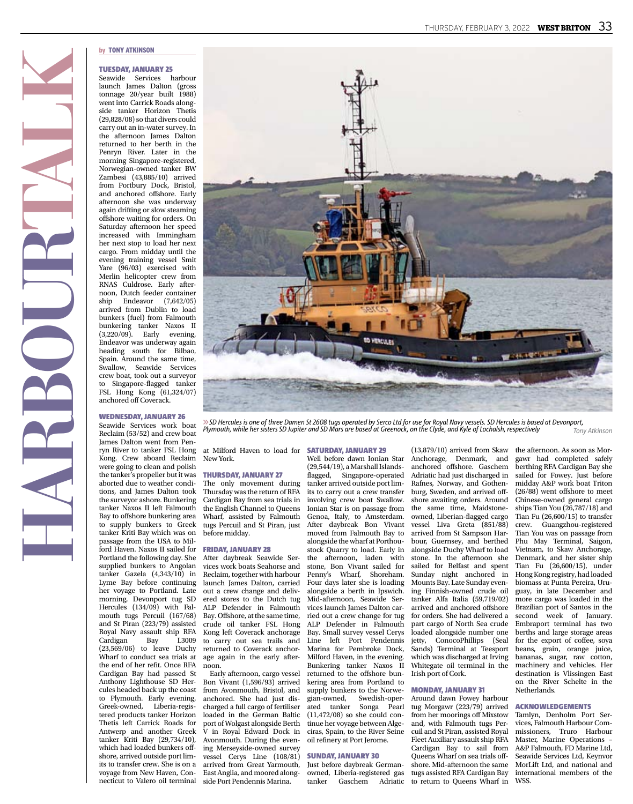#### Tuesday, January 25

Seawide Services harbour launch James Dalton (gross tonnage 20/year built 1988) went into Carrick Roads alongside tanker Horizon Thetis (29,828/08) so that divers could carry out an in-water survey. In the afternoon James Dalton returned to her berth in the Penryn River. Later in the morning Singapore-registered, Norwegian-owned tanker BW Zambesi (43,885/10) arrived from Portbury Dock, Bristol, and anchored offshore. Early afternoon she was underway again drifting or slow steaming offshore waiting for orders. On Saturday afternoon her speed increased with Immingham her next stop to load her next cargo. From midday until the evening training vessel Smit Yare (96/03) exercised with Merlin helicopter crew from RNAS Culdrose. Early afternoon, Dutch feeder container ship Endeavor (7,642/05) arrived from Dublin to load bunkers (fuel) from Falmouth bunkering tanker Naxos II (3,220/09). Early evening, Endeavor was underway again heading south for Bilbao, Spain. Around the same time, Swallow, Seawide Services crew boat, took out a surveyor to Singapore-flagged tanker FSL Hong Kong (61,324/07) anchored off Coverack.

Wednesday, January 26

#### Seawide Services work boat Reclaim (53/52) and crew boat James Dalton went from Penryn River to tanker FSL Hong Kong. Crew aboard Reclaim were going to clean and polish the tanker's propeller but it was aborted due to weather conditions, and James Dalton took the surveyor ashore. Bunkering tanker Naxos II left Falmouth Bay to offshore bunkering area to supply bunkers to Greek tanker Kriti Bay which was on passage from the USA to Milford Haven. Naxos II sailed for Portland the following day. She supplied bunkers to Angolan tanker Gazela (4,343/10) in Lyme Bay before continuing her voyage to Portland. Late morning, Devonport tug SD Hercules (134/09) with Falmouth tugs Percuil (167/68) and St Piran (223/79) assisted Royal Navy assault ship RFA Cardigan (23,569/06) to leave Duchy Wharf to conduct sea trials at the end of her refit. Once RFA Cardigan Bay had passed St Anthony Lighthouse SD Hercules headed back up the coast to Plymouth. Early evening, Greek-owned, Liberia-registered products tanker Horizon Thetis left Carrick Roads for Antwerp and another Greek tanker Kriti Bay (29,734/10), which had loaded bunkers offshore, arrived outside port limits to transfer crew. She is on a voyage from New Haven, Con-

at Milford Haven to load for **SATURDAY, JANUARY 29** New York.

### Thursday, January 27

The only movement during Thursday was the return of RFA Cardigan Bay from sea trials in the English Channel to Queens Wharf, assisted by Falmouth tugs Percuil and St Piran, just before midday.

# Friday, January 28

After daybreak Seawide Services work boats Seahorse and Reclaim, together with harbour launch James Dalton, carried out a crew change and delivered stores to the Dutch tug ALP Defender in Falmouth Bay. Offshore, at the same time, crude oil tanker FSL Hong Kong left Coverack anchorage to carry out sea trails and returned to Coverack anchorage again in the early afternoon.

Early afternoon, cargo vessel Bon Vivant (1,596/93) arrived from Avonmouth, Bristol, and anchored. She had just discharged a full cargo of fertiliser loaded in the German Baltic port of Wolgast alongside Berth V in Royal Edward Dock in Avonmouth. During the evening Merseyside-owned survey vessel Cerys Line (108/81) arrived from Great Yarmouth, East Anglia, and moored alongnecticut to Valero oil terminal side Port Pendennis Marina.

*Plymouth, while her sisters SD Jupiter and SD Mars are based at Greenock, on the Clyde, and Kyle of Lochalsh, respectively*

Well before dawn Ionian Star (29,544/19), a Marshall Islandsflagged, Singapore-operated tanker arrived outside port limits to carry out a crew transfer involving crew boat Swallow. Ionian Star is on passage from Genoa, Italy, to Amsterdam. After daybreak Bon Vivant moved from Falmouth Bay to alongside the wharf at Porthoustock Quarry to load. Early in the afternoon, laden with stone, Bon Vivant sailed for Penny's Wharf, Shoreham. Four days later she is loading alongside a berth in Ipswich. Mid-afternoon, Seawide Services launch James Dalton carried out a crew change for tug ALP Defender in Falmouth Bay. Small survey vessel Cerys Line left Port Pendennis Marina for Pembroke Dock, Milford Haven, in the evening. Bunkering tanker Naxos II returned to the offshore bunkering area from Portland to supply bunkers to the Norwegian-owned, Swedish-oper-Songa Pearl (11,472/08) so she could continue her voyage between Algeciras, Spain, to the River Seine oil refinery at Port Jerome.

# Sunday, January 30

Just before daybreak Germanowned, Liberia-registered gas tanker Gaschem Adriatic to return to Queens Wharf in WSS.

(13,879/10) arrived from Skaw Anchorage, Denmark, and anchored offshore. Gaschem Adriatic had just discharged in Rafnes, Norway, and Gothenburg, Sweden, and arrived offshore awaiting orders. Around the same time, Maidstoneowned, Liberian-flagged cargo vessel Liva Greta (851/88) arrived from St Sampson Harbour, Guernsey, and berthed alongside Duchy Wharf to load stone. In the afternoon she sailed for Belfast and spent Sunday night anchored in Mounts Bay. Late Sunday evening Finnish-owned crude oil tanker Alfa Italia (59,719/02) arrived and anchored offshore for orders. She had delivered a part cargo of North Sea crude loaded alongside number one jetty, ConocoPhillips (Seal Sands) Terminal at Teesport which was discharged at Irving Whitegate oil terminal in the Irish port of Cork.

# Monday, January 31

Around dawn Fowey harbour tug Morgawr (223/79) arrived from her moorings off Mixstow and, with Falmouth tugs Percuil and St Piran, assisted Royal Fleet Auxiliary assault ship RFA Cardigan Bay to sail from Queens Wharf on sea trials offshore. Mid-afternoon the same tugs assisted RFA Cardigan Bay

berthing RFA Cardigan Bay she sailed for Fowey. Just before midday A&P work boat Triton (26/88) went offshore to meet Chinese-owned general cargo ships Tian You (26,787/18) and Tian Fu (26,600/15) to transfer crew. Guangzhou-registered Tian You was on passage from Phu May Terminal, Saigon, Vietnam, to Skaw Anchorage, Denmark, and her sister ship Tian Fu (26,600/15), under Hong Kong registry, had loaded biomass at Punta Pereira, Uruguay, in late December and more cargo was loaded in the Brazilian port of Santos in the second week of January. Embraport terminal has two berths and large storage areas for the export of coffee, soya beans, grain, orange juice, bananas, sugar, raw cotton, machinery and vehicles. Her destination is Vlissingen East on the River Schelte in the **Netherlands** 

the afternoon. As soon as Morgawr had completed safely

*Tony Atkinson*

#### Acknowledgements

Tamlyn, Denholm Port Services, Falmouth Harbour Commissioners, Truro Harbour Master, Marine Operations – A&P Falmouth, FD Marine Ltd, Seawide Services Ltd, Keynvor MorLift Ltd, and national and international members of the



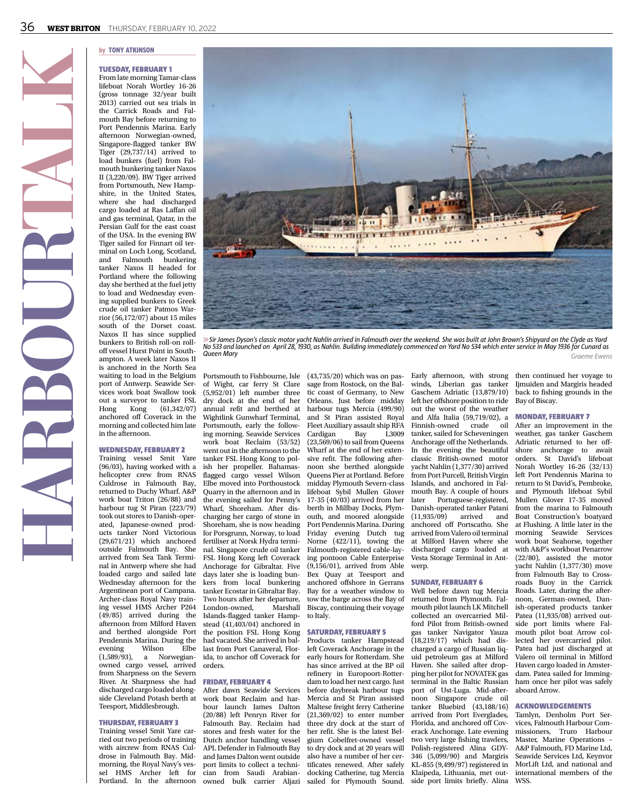# Tuesday, February 1

From late morning Tamar-class lifeboat Norah Wortley 16-26 (gross tonnage 32/year built 2013) carried out sea trials in the Carrick Roads and Falmouth Bay before returning to Port Pendennis Marina. Early afternoon Norwegian-owned, Singapore-flagged tanker BW Tiger (29,737/14) arrived to load bunkers (fuel) from Falmouth bunkering tanker Naxos II (3,220/09). BW Tiger arrived from Portsmouth, New Hampshire, in the United States, where she had discharged cargo loaded at Ras Laffan oil and gas terminal, Qatar, in the Persian Gulf for the east coast of the USA. In the evening BW Tiger sailed for Finnart oil terminal on Loch Long, Scotland,<br>and Falmouth bunkering and Falmouth tanker Naxos II headed for Portland where the following day she berthed at the fuel jetty to load and Wednesday evening supplied bunkers to Greek crude oil tanker Patmos Warrior (56,172/07) about 15 miles south of the Dorset coast. Naxos II has since supplied bunkers to British roll-on rolloff vessel Hurst Point in Southampton. A week later Naxos II is anchored in the North Sea waiting to load in the Belgium port of Antwerp. Seawide Services work boat Swallow took out a surveyor to tanker FSL Hong Kong (61,342/07) anchored off Coverack in the morning and collected him late in the afternoon.

**HARBOURTALK**

#### Wednesday, February 2

Training vessel Smit Yare (96/03), having worked with a helicopter crew from RNAS Culdrose in Falmouth Bay, returned to Duchy Wharf. A&P work boat Triton (26/88) and harbour tug St Piran (223/79) took out stores to Danish-operated, Japanese-owned products tanker Nord Victorious (29,671/21) which anchored outside Falmouth Bay. She arrived from Sea Tank Terminal in Antwerp where she had loaded cargo and sailed late Wednesday afternoon for the Argentinean port of Campana. Archer-class Royal Navy training vessel HMS Archer P264 (49/85) arrived during the afternoon from Milford Haven and berthed alongside Port Pendennis Marina. During the<br>evening Wilson Elbe evening  $(1,589/93)$ , a Norwegianowned cargo vessel, arrived from Sharpness on the Severn River. At Sharpness she had discharged cargo loaded alongside Cleveland Potash berth at Teesport, Middlesbrough.

#### Thursday, February 3

Training vessel Smit Yare carried out two periods of training with aircrew from RNAS Culdrose in Falmouth Bay. Midmorning, the Royal Navy's vessel HMS Archer left for

Portsmouth to Fishbourne, Isle of Wight, car ferry St Clare (5,952/01) left number three dry dock at the end of her annual refit and berthed at Wightlink Gunwharf Terminal, Portsmouth, early the following morning. Seawide Services work boat Reclaim (53/52) went out in the afternoon to the tanker FSL Hong Kong to polish her propeller. Bahamasflagged cargo vessel Wilson Elbe moved into Porthoustock Quarry in the afternoon and in the evening sailed for Penny's Wharf, Shoreham. After discharging her cargo of stone in Shoreham, she is now heading for Porsgrunn, Norway, to load fertiliser at Norsk Hydra terminal. Singapore crude oil tanker FSL Hong Kong left Coverack Anchorage for Gibraltar. Five days later she is loading bunkers from local bunkering tanker Ecostar in Gibraltar Bay. Two hours after her departure, London-owned, Islands-flagged tanker Hampstead (41,403/04) anchored in the position FSL Hong Kong had vacated. She arrived in ballast from Port Canaveral, Florida, to anchor off Coverack for orders.

*Queen Mary*

# Friday, February 4

After dawn Seawide Services work boat Reclaim and harbour launch James Dalton (20/88) left Penryn River for Falmouth Bay. Reclaim had stores and fresh water for the her refit. She is the latest Bel-Dutch anchor handling vessel APL Defender in Falmouth Bay and James Dalton went outside port limits to collect a technician from Saudi Arabian-Portland. In the afternoon owned bulk carrier Aljazi sailed for Plymouth Sound. side port-limits briefly. Alina WSS.

(43,735/20) which was on passage from Rostock, on the Baltic coast of Germany, to New Orleans. Just before midday harbour tugs Mercia (499/90) and St Piran assisted Royal Fleet Auxiliary assault ship RFA Cardigan Bay L3009 (23,569/06) to sail from Queens Wharf at the end of her extensive refit. The following afternoon she berthed alongside Queens Pier at Portland. Before midday Plymouth Severn-class lifeboat Sybil Mullen Glover 17-35 (40/03) arrived from her berth in Millbay Docks, Plymouth, and moored alongside Port Pendennis Marina. During Friday evening Dutch tug Norne (422/11), towing the Falmouth-registered cable-laying pontoon Cable Enterprise (9,156/01), arrived from Able Bex Quay at Teesport and anchored offshore in Gerrans Bay for a weather window to tow the barge across the Bay of Biscay, continuing their voyage to Italy.

# Saturday, February 5

Products tanker Hampstead left Coverack Anchorage in the early hours for Rotterdam. She has since arrived at the BP oil refinery in Europoort-Rotterdam to load her next cargo. Just before daybreak harbour tugs Mercia and St Piran assisted Maltese freight ferry Catherine (21,369/02) to enter number three dry dock at the start of gium Cobelfret-owned vessel to dry dock and at 20 years will also have a number of her certificates renewed. After safely docking Catherine, tug Mercia

winds, Liberian gas tanker Gaschem Adriatic (13,879/10) left her offshore position to ride out the worst of the weather and Alfa Italia (59,719/02), a Finnish-owned crude oil tanker, sailed for Scheveningen Anchorage off the Netherlands. In the evening the beautiful classic British-owned motor yacht Nahlin (1,377/30) arrived from Port Purcell, British Virgin Islands, and anchored in Falmouth Bay. A couple of hours later Portuguese-registered, Danish-operated tanker Patani<br>(11.935/09) arrived and (11,935/09) arrived and anchored off Portscatho. She arrived from Valero oil terminal at Milford Haven where she discharged cargo loaded at Vesta Storage Terminal in Antwerp.

#### Sunday, February 6

Well before dawn tug Mercia returned from Plymouth. Falmouth pilot launch LK Mitchell collected an overcarried Milford Pilot from British-owned gas tanker Navigator Yauza (18,219/17) which had discharged a cargo of Russian liquid petroleum gas at Milford Haven. She sailed after dropping her pilot for NOVATEK gas terminal in the Baltic Russian port of Ust-Luga. Mid-afternoon Singapore crude oil tanker Bluebird (43,188/16) arrived from Port Everglades, Florida, and anchored off Coverack Anchorage. Late evening two very large fishing trawlers, Polish-registered Alina GDY-346 (5,099/90) and Margiris KL-855 (9,499/97) registered in Klaipeda, Lithuania, met out-

#### Early afternoon, with strong then continued her voyage to Ijmuiden and Margiris headed back to fishing grounds in the Bay of Biscay.

*Graeme Ewens*

#### MONDAY, FEBRUARY 7

After an improvement in the weather, gas tanker Gaschem Adriatic returned to her offshore anchorage to await orders. St David's lifeboat Norah Wortley 16-26 (32/13) left Port Pendennis Marina to return to St David's, Pembroke, and Plymouth lifeboat Sybil Mullen Glover 17-35 moved from the marina to Falmouth Boat Construction's boatyard at Flushing. A little later in the morning Seawide Services work boat Seahorse, together with A&P's workboat Penarrow (22/80), assisted the motor yacht Nahlin (1,377/30) move from Falmouth Bay to Crossroads Buoy in the Carrick Roads. Later, during the afternoon, German-owned, Danish-operated products tanker Patea (11,935/08) arrived outside port limits where Falmouth pilot boat Arrow collected her overcarried pilot. Patea had just discharged at Valero oil terminal in Milford Haven cargo loaded in Amsterdam. Patea sailed for Immingham once her pilot was safely aboard Arrow.

#### Acknowledgements

Tamlyn, Denholm Port Services, Falmouth Harbour Commissioners, Truro Harbour Master, Marine Operations – A&P Falmouth, FD Marine Ltd, Seawide Services Ltd, Keynvor MorLift Ltd, and national and international members of the



*No 533 and launched on April 28, 1930, as Nahlin. Building immediately commenced on Yard No 534 which enter service in May 1936 for Cunard as*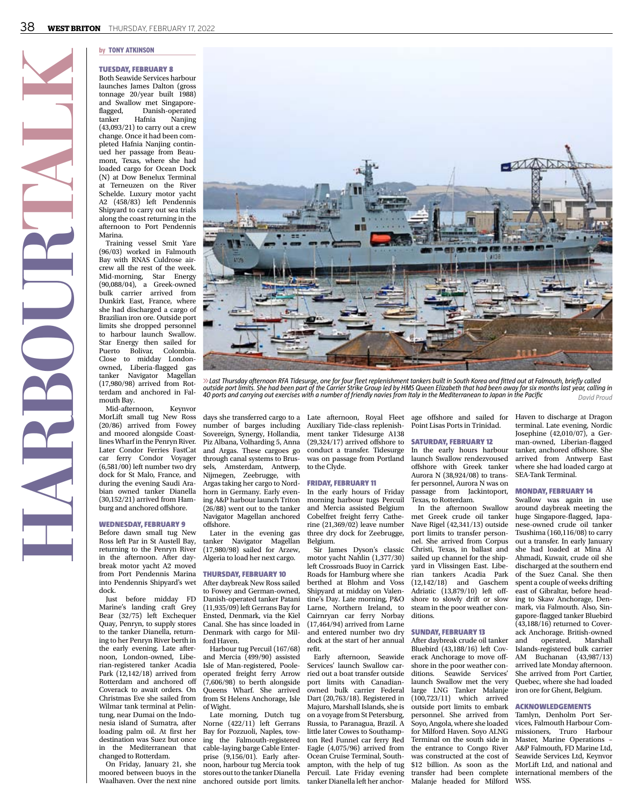

#### Tuesday, February 8

Both Seawide Services harbour launches James Dalton (gross tonnage 20/year built 1988) and Swallow met Singapore-<br>flagged. Danish-operated Danish-operated<br>Hafnia Naniing tanker Hafnia Nanjing (43,093/21) to carry out a crew change. Once it had been completed Hafnia Nanjing continued her passage from Beaumont, Texas, where she had loaded cargo for Ocean Dock (N) at Dow Benelux Terminal at Terneuzen on the River Schelde. Luxury motor yacht A2 (458/83) left Pendennis Shipyard to carry out sea trials along the coast returning in the afternoon to Port Pendennis Marina.

Training vessel Smit Yare (96/03) worked in Falmouth Bay with RNAS Culdrose aircrew all the rest of the week. Mid-morning, Star Energy (90,088/04), a Greek-owned bulk carrier arrived from Dunkirk East, France, where she had discharged a cargo of Brazilian iron ore. Outside port limits she dropped personnel to harbour launch Swallow. Star Energy then sailed for Puerto Bolivar, Colombia. Close to midday Londonowned, Liberia-flagged gas tanker Navigator Magellan (17,980/98) arrived from Rotterdam and anchored in Falmouth Bay.

**HARBOURTALK**

Mid-afternoon, Keynvor MorLift small tug New Ross (20/86) arrived from Fowey and moored alongside Coastlines Wharf in the Penryn River. Later Condor Ferries FastCat car ferry Condor Voyager (6,581/00) left number two dry dock for St Malo, France, and during the evening Saudi Arabian owned tanker Dianella (30,152/21) arrived from Hamburg and anchored offshore.

#### Wednesday, February 9

Before dawn small tug New Ross left Par in St Austell Bay, returning to the Penryn River in the afternoon. After daybreak motor yacht A2 moved from Port Pendennis Marina into Pendennis Shipyard's wet dock.

Just before midday FD Marine's landing craft Grey Bear (32/75) left Exchequer Quay, Penryn, to supply stores to the tanker Dianella, returning to her Penryn River berth in the early evening. Late afternoon, London-owned, Liberian-registered tanker Acadia Park (12,142/18) arrived from Rotterdam and anchored off Coverack to await orders. On Christmas Eve she sailed from Wilmar tank terminal at Pelintung, near Dumai on the Indonesia island of Sumatra, after loading palm oil. At first her destination was Suez but once in the Mediterranean that changed to Rotterdam.

On Friday, January 21, she moored between buoys in the



6*Last Thursday afternoon RFA Tidesurge, one for four fleet replenishment tankers built in South Korea and fitted out at Falmouth, briefly called outside port limits. She had been part of the Carrier Strike Group led by HMS Queen Elizabeth that had been away for six months last year, calling in 40 ports and carrying out exercises with a number of friendly navies from Italy in the Mediterranean to Japan in the Pacific David Proud*

Sovereign, Synergy, Hollandia, Piz Albana, Volharding 5, Anna and Argas. These cargoes go through canal systems to Brussels, Amsterdam, Antwerp, Nijmegen, Zeebrugge, with Argas taking her cargo to Nordhorn in Germany. Early evening A&P harbour launch Triton (26/88) went out to the tanker Navigator Magellan anchored offshore.

Later in the evening gas tanker Navigator Magellan (17,980/98) sailed for Arzew, Algeria to load her next cargo.

#### Thursday, February 10

After daybreak New Ross sailed to Fowey and German-owned, Danish-operated tanker Patani (11,935/09) left Gerrans Bay for Ensted, Denmark, via the Kiel Canal. She has since loaded in Denmark with cargo for Milford Haven.

Harbour tug Percuil (167/68) and Mercia (499/90) assisted Isle of Man-registered, Pooleoperated freight ferry Arrow (7,606/98) to berth alongside Queens Wharf. She arrived from St Helens Anchorage, Isle of Wight.

Late morning, Dutch tug Norne (422/11) left Gerrans Bay for Pozzuoli, Naples, towing the Falmouth-registered cable-laying barge Cable Enterprise (9,156/01). Early afternoon, harbour tug Mercia took stores out to the tanker Dianella Waalhaven. Over the next nine anchored outside port limits.

days she transferred cargo to a Late afternoon, Royal Fleet number of barges including Auxiliary Tide-class replenishment tanker Tidesurge A138 (29,324/17) arrived offshore to conduct a transfer. Tidesurge was on passage from Portland to the Clyde.

#### Friday, February 11

In the early hours of Friday morning harbour tugs Percuil and Mercia assisted Belgium Cobelfret freight ferry Catherine (21,369/02) leave number three dry dock for Zeebrugge, Belgium.

Sir James Dyson's classic motor yacht Nahlin (1,377/30) left Crossroads Buoy in Carrick Roads for Hamburg where she berthed at Blohm and Voss Shipyard at midday on Valentine's Day. Late morning, P&O Larne, Northern Ireland, to Cairnryan car ferry Norbay (17,464/94) arrived from Larne and entered number two dry dock at the start of her annual refit.

Early afternoon, Seawide Services' launch Swallow carried out a boat transfer outside port limits with Canadianowned bulk carrier Federal Dart (20,763/18). Registered in Majuro, Marshall Islands, she is on a voyage from St Petersburg, Russia, to Paranagua, Brazil. A little later Cowes to Southampton Red Funnel car ferry Red Eagle (4,075/96) arrived from Ocean Cruise Terminal, Southampton, with the help of tug Percuil. Late Friday evening tanker Dianella left her anchor-

age offshore and sailed for Haven to discharge at Dragon Point Lisas Ports in Trinidad.

# Saturday, February 12

In the early hours harbour launch Swallow rendezvoused offshore with Greek tanker Aurora N (38,924/08) to transfer personnel, Aurora N was on passage from Jackintoport, Texas, to Rotterdam.

In the afternoon Swallow met Greek crude oil tanker Nave Rigel (42,341/13) outside port limits to transfer personnel. She arrived from Corpus Christi, Texas, in ballast and sailed up channel for the shipyard in Vlissingen East. Liberian tankers Acadia Park (12,142/18) and Gaschem Adriatic (13,879/10) left offshore to slowly drift or slow steam in the poor weather conditions.

# Sunday, February 13

After daybreak crude oil tanker Bluebird (43,188/16) left Coverack Anchorage to move offshore in the poor weather conditions. Seawide Services' launch Swallow met the very large LNG Tanker Malanje (100,723/11) which arrived outside port limits to embark personnel. She arrived from Soyo, Angola, where she loaded for Milford Haven. Soyo ALNG Terminal on the south side in the entrance to Congo River was constructed at the cost of \$12 billion. As soon as the transfer had been complete Malanje headed for Milford WSS.

terminal. Late evening, Nordic Josephine (42,010/07), a German-owned, Liberian-flagged tanker, anchored offshore. She arrived from Antwerp East where she had loaded cargo at SEA-Tank Terminal.

# Monday, February 14

Swallow was again in use around daybreak meeting the huge Singapore-flagged, Japanese-owned crude oil tanker Tsushima (160,116/08) to carry out a transfer. In early January she had loaded at Mina Al Ahmadi, Kuwait, crude oil she discharged at the southern end of the Suez Canal. She then spent a couple of weeks drifting east of Gibraltar, before heading to Skaw Anchorage, Denmark, via Falmouth. Also, Singapore-flagged tanker Bluebird  $(43,188/16)$  returned to Coverack Anchorage. British-owned<br>and operated. Marshall operated, Islands-registered bulk carrier AM Buchanan (43,987/13) arrived late Monday afternoon. She arrived from Port Cartier, Quebec, where she had loaded iron ore for Ghent, Belgium.

#### Acknowledgements

Tamlyn, Denholm Port Services, Falmouth Harbour Commissioners, Truro Harbour Master, Marine Operations – A&P Falmouth, FD Marine Ltd, Seawide Services Ltd, Keynvor MorLift Ltd, and national and international members of the